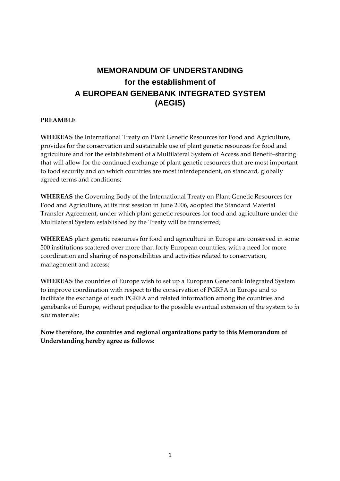# **MEMORANDUM OF UNDERSTANDING for the establishment of A EUROPEAN GENEBANK INTEGRATED SYSTEM (AEGIS)**

## **PREAMBLE**

**WHEREAS** the International Treaty on Plant Genetic Resources for Food and Agriculture, provides for the conservation and sustainable use of plant genetic resources for food and agriculture and for the establishment of a Multilateral System of Access and Benefit–sharing that will allow for the continued exchange of plant genetic resources that are most important to food security and on which countries are most interdependent, on standard, globally agreed terms and conditions;

**WHEREAS** the Governing Body of the International Treaty on Plant Genetic Resources for Food and Agriculture, at its first session in June 2006, adopted the Standard Material Transfer Agreement, under which plant genetic resources for food and agriculture under the Multilateral System established by the Treaty will be transferred;

**WHEREAS** plant genetic resources for food and agriculture in Europe are conserved in some 500 institutions scattered over more than forty European countries, with a need for more coordination and sharing of responsibilities and activities related to conservation, management and access;

**WHEREAS** the countries of Europe wish to set up a European Genebank Integrated System to improve coordination with respect to the conservation of PGRFA in Europe and to facilitate the exchange of such PGRFA and related information among the countries and genebanks of Europe, without prejudice to the possible eventual extension of the system to *in situ* materials;

**Now therefore, the countries and regional organizations party to this Memorandum of Understanding hereby agree as follows:**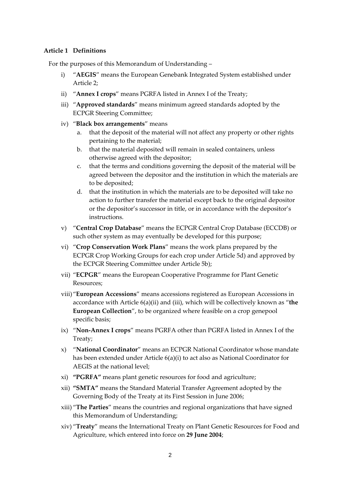#### **Article 1 Definitions**

For the purposes of this Memorandum of Understanding –

- i) "**AEGIS**" means the European Genebank Integrated System established under Article 2;
- ii) "**Annex I crops**" means PGRFA listed in Annex I of the Treaty;
- iii) "**Approved standards**" means minimum agreed standards adopted by the ECPGR Steering Committee;
- iv) "**Black box arrangements**" means
	- a. that the deposit of the material will not affect any property or other rights pertaining to the material;
	- b. that the material deposited will remain in sealed containers, unless otherwise agreed with the depositor;
	- c. that the terms and conditions governing the deposit of the material will be agreed between the depositor and the institution in which the materials are to be deposited;
	- d. that the institution in which the materials are to be deposited will take no action to further transfer the material except back to the original depositor or the depositor's successor in title, or in accordance with the depositor's instructions.
- v) "**Central Crop Database**" means the ECPGR Central Crop Database (ECCDB) or such other system as may eventually be developed for this purpose;
- vi) "**Crop Conservation Work Plans**" means the work plans prepared by the ECPGR Crop Working Groups for each crop under Article 5d) and approved by the ECPGR Steering Committee under Article 5b);
- vii) "**ECPGR**" means the European Cooperative Programme for Plant Genetic Resources;
- viii)"**European Accessions**" means accessions registered as European Accessions in accordance with Article 6(a)(ii) and (iii), which will be collectively known as "**the European Collection**", to be organized where feasible on a crop genepool specific basis;
- ix) "**Non‐Annex I crops**" means PGRFA other than PGRFA listed in Annex I of the Treaty;
- x) "**National Coordinator**" means an ECPGR National Coordinator whose mandate has been extended under Article 6(a)(i) to act also as National Coordinator for AEGIS at the national level;
- xi) **"PGRFA"** means plant genetic resources for food and agriculture;
- xii) **"SMTA"** means the Standard Material Transfer Agreement adopted by the Governing Body of the Treaty at its First Session in June 2006;
- xiii) "**The Parties**" means the countries and regional organizations that have signed this Memorandum of Understanding;
- xiv) "**Treaty**" means the International Treaty on Plant Genetic Resources for Food and Agriculture, which entered into force on **29 June 2004**;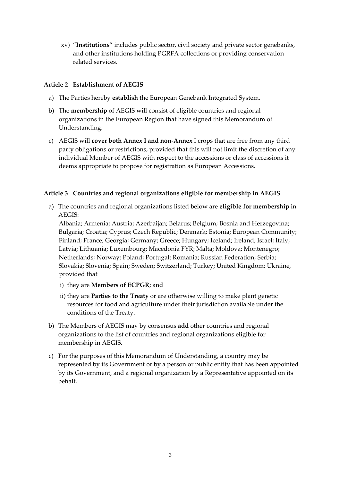xv) "**Institutions**" includes public sector, civil society and private sector genebanks, and other institutions holding PGRFA collections or providing conservation related services.

# **Article 2 Establishment of AEGIS**

- a) The Parties hereby **establish** the European Genebank Integrated System.
- b) The **membership** of AEGIS will consist of eligible countries and regional organizations in the European Region that have signed this Memorandum of Understanding.
- c) AEGIS will **cover both Annex I and non‐Annex** I crops that are free from any third party obligations or restrictions, provided that this will not limit the discretion of any individual Member of AEGIS with respect to the accessions or class of accessions it deems appropriate to propose for registration as European Accessions.

### **Article 3 Countries and regional organizations eligible for membership in AEGIS**

a) The countries and regional organizations listed below are **eligible for membership** in AEGIS:

Albania; Armenia; Austria; Azerbaijan; Belarus; Belgium; Bosnia and Herzegovina; Bulgaria; Croatia; Cyprus; Czech Republic; Denmark; Estonia; European Community; Finland; France; Georgia; Germany; Greece; Hungary; Iceland; Ireland; Israel; Italy; Latvia; Lithuania; Luxembourg; Macedonia FYR; Malta; Moldova; Montenegro; Netherlands; Norway; Poland; Portugal; Romania; Russian Federation; Serbia; Slovakia; Slovenia; Spain; Sweden; Switzerland; Turkey; United Kingdom; Ukraine, provided that

- i) they are **Members of ECPGR**; and
- ii) they are **Parties to the Treaty** or are otherwise willing to make plant genetic resources for food and agriculture under their jurisdiction available under the conditions of the Treaty.
- b) The Members of AEGIS may by consensus **add** other countries and regional organizations to the list of countries and regional organizations eligible for membership in AEGIS.
- c) For the purposes of this Memorandum of Understanding, a country may be represented by its Government or by a person or public entity that has been appointed by its Government, and a regional organization by a Representative appointed on its behalf.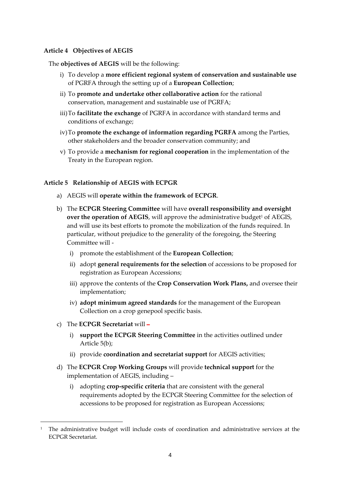#### **Article 4 Objectives of AEGIS**

The **objectives of AEGIS** will be the following:

- i) To develop a **more efficient regional system of conservation and sustainable use** of PGRFA through the setting up of a **European Collection**;
- ii) To **promote and undertake other collaborative action** for the rational conservation, management and sustainable use of PGRFA;
- iii)To **facilitate the exchange** of PGRFA in accordance with standard terms and conditions of exchange;
- iv)To **promote the exchange of information regarding PGRFA** among the Parties, other stakeholders and the broader conservation community; and
- v) To provide a **mechanism for regional cooperation** in the implementation of the Treaty in the European region.

# **Article 5 Relationship of AEGIS with ECPGR**

- a) AEGIS will **operate within the framework of ECPGR**.
- b) The **ECPGR Steering Committee** will have **overall responsibility and oversight over the operation of AEGIS, will approve the administrative budget<sup>1</sup> of AEGIS,** and will use its best efforts to promote the mobilization of the funds required. In particular, without prejudice to the generality of the foregoing, the Steering Committee will ‐
	- i) promote the establishment of the **European Collection**;
	- ii) adopt **general requirements for the selection** of accessions to be proposed for registration as European Accessions;
	- iii) approve the contents of the **Crop Conservation Work Plans,** and oversee their implementation;
	- iv) **adopt minimum agreed standards** for the management of the European Collection on a crop genepool specific basis.
- c) The **ECPGR Secretariat** will –

<u> 1989 - Johann Barn, mars eta bainar eta politikaria (h. 1989).</u>

- i) **support the ECPGR Steering Committee** in the activities outlined under Article 5(b);
- ii) provide **coordination and secretariat support** for AEGIS activities;
- d) The **ECPGR Crop Working Groups** will provide **technical support** for the implementation of AEGIS, including –
	- i) adopting **crop‐specific criteria** that are consistent with the general requirements adopted by the ECPGR Steering Committee for the selection of accessions to be proposed for registration as European Accessions;

<sup>1</sup> The administrative budget will include costs of coordination and administrative services at the ECPGR Secretariat.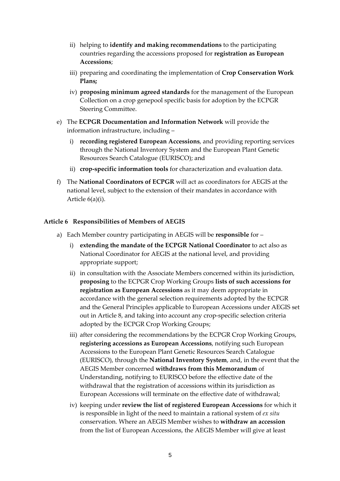- ii) helping to **identify and making recommendations** to the participating countries regarding the accessions proposed for **registration as European Accessions**;
- iii) preparing and coordinating the implementation of **Crop Conservation Work Plans;**
- iv) **proposing minimum agreed standards** for the management of the European Collection on a crop genepool specific basis for adoption by the ECPGR Steering Committee.
- e) The **ECPGR Documentation and Information Network** will provide the information infrastructure, including –
	- i) **recording registered European Accessions**, and providing reporting services through the National Inventory System and the European Plant Genetic Resources Search Catalogue (EURISCO); and
	- ii) **crop‐specific information tools** for characterization and evaluation data.
- f) The **National Coordinators of ECPGR** will act as coordinators for AEGIS at the national level, subject to the extension of their mandates in accordance with Article 6(a)(i).

### **Article 6 Responsibilities of Members of AEGIS**

- a) Each Member country participating in AEGIS will be **responsible** for
	- i) **extending the mandate of the ECPGR National Coordinator** to act also as National Coordinator for AEGIS at the national level, and providing appropriate support;
	- ii) in consultation with the Associate Members concerned within its jurisdiction, **proposing** to the ECPGR Crop Working Groups **lists of such accessions for registration as European Accessions** as it may deem appropriate in accordance with the general selection requirements adopted by the ECPGR and the General Principles applicable to European Accessions under AEGIS set out in Article 8, and taking into account any crop‐specific selection criteria adopted by the ECPGR Crop Working Groups;
	- iii) after considering the recommendations by the ECPGR Crop Working Groups, **registering accessions as European Accessions**, notifying such European Accessions to the European Plant Genetic Resources Search Catalogue (EURISCO), through the **National Inventory System**, and, in the event that the AEGIS Member concerned **withdraws from this Memorandum** of Understanding, notifying to EURISCO before the effective date of the withdrawal that the registration of accessions within its jurisdiction as European Accessions will terminate on the effective date of withdrawal;
	- iv) keeping under **review the list of registered European Accessions** for which it is responsible in light of the need to maintain a rational system of *ex situ* conservation. Where an AEGIS Member wishes to **withdraw an accession** from the list of European Accessions, the AEGIS Member will give at least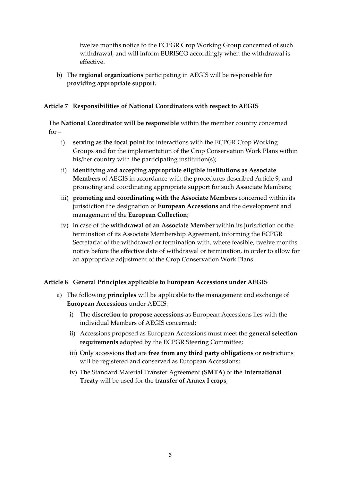twelve months notice to the ECPGR Crop Working Group concerned of such withdrawal, and will inform EURISCO accordingly when the withdrawal is effective.

b) The **regional organizations** participating in AEGIS will be responsible for **providing appropriate support.**

## **Article 7 Responsibilities of National Coordinators with respect to AEGIS**

The **National Coordinator will be responsible** within the member country concerned  $for -$ 

- i) **serving as the focal point** for interactions with the ECPGR Crop Working Groups and for the implementation of the Crop Conservation Work Plans within his/her country with the participating institution(s);
- ii) **identifying and accepting appropriate eligible institutions as Associate Members** of AEGIS in accordance with the procedures described Article 9, and promoting and coordinating appropriate support for such Associate Members;
- iii) **promoting and coordinating with the Associate Members** concerned within its jurisdiction the designation of **European Accessions** and the development and management of the **European Collection**;
- iv) in case of the **withdrawal of an Associate Member** within its jurisdiction or the termination of its Associate Membership Agreement, informing the ECPGR Secretariat of the withdrawal or termination with, where feasible, twelve months notice before the effective date of withdrawal or termination, in order to allow for an appropriate adjustment of the Crop Conservation Work Plans.

#### **Article 8 General Principles applicable to European Accessions under AEGIS**

- a) The following **principles** will be applicable to the management and exchange of **European Accessions** under AEGIS:
	- i) The **discretion to propose accessions** as European Accessions lies with the individual Members of AEGIS concerned;
	- ii) Accessions proposed as European Accessions must meet the **general selection requirements** adopted by the ECPGR Steering Committee;
	- iii) Only accessions that are **free from any third party obligations** or restrictions will be registered and conserved as European Accessions;
	- iv) The Standard Material Transfer Agreement (**SMTA**) of the **International Treaty** will be used for the **transfer of Annex I crops**;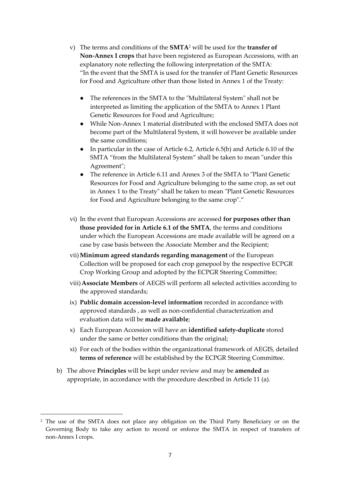- v) The terms and conditions of the **SMTA**<sup>2</sup> will be used for the **transfer of Non‐Annex I crops** that have been registered as European Accessions, with an explanatory note reflecting the following interpretation of the SMTA: "In the event that the SMTA is used for the transfer of Plant Genetic Resources for Food and Agriculture other than those listed in Annex 1 of the Treaty:
	- The references in the SMTA to the "Multilateral System" shall not be interpreted as limiting the application of the SMTA to Annex 1 Plant Genetic Resources for Food and Agriculture;
	- While Non-Annex 1 material distributed with the enclosed SMTA does not become part of the Multilateral System, it will however be available under the same conditions;
	- In particular in the case of Article 6.2, Article 6.5(b) and Article 6.10 of the SMTA "from the Multilateral System" shall be taken to mean "under this Agreement";
	- The reference in Article 6.11 and Annex 3 of the SMTA to "Plant Genetic Resources for Food and Agriculture belonging to the same crop, as set out in Annex 1 to the Treaty" shall be taken to mean "Plant Genetic Resources" for Food and Agriculture belonging to the same crop"."
- vi) In the event that European Accessions are accessed **for purposes other than those provided for in Article 6.1 of the SMTA**, the terms and conditions under which the European Accessions are made available will be agreed on a case by case basis between the Associate Member and the Recipient;
- vii)**Minimum agreed standards regarding management** of the European Collection will be proposed for each crop genepool by the respective ECPGR Crop Working Group and adopted by the ECPGR Steering Committee;
- viii)**Associate Members** of AEGIS will perform all selected activities according to the approved standards;
- ix) **Public domain accession‐level information** recorded in accordance with approved standards , as well as non‐confidential characterization and evaluation data will be **made available**;
- x) Each European Accession will have an **identified safety‐duplicate** stored under the same or better conditions than the original;
- xi) For each of the bodies within the organizational framework of AEGIS, detailed **terms of reference** will be established by the ECPGR Steering Committee.
- b) The above **Principles** will be kept under review and may be **amended** as appropriate, in accordance with the procedure described in Article 11 (a).

<u> 1989 - Johann Barn, mars eta bainar eta politikaria (h. 1989).</u>

<sup>2</sup> The use of the SMTA does not place any obligation on the Third Party Beneficiary or on the Governing Body to take any action to record or enforce the SMTA in respect of transfers of non‐Annex I crops.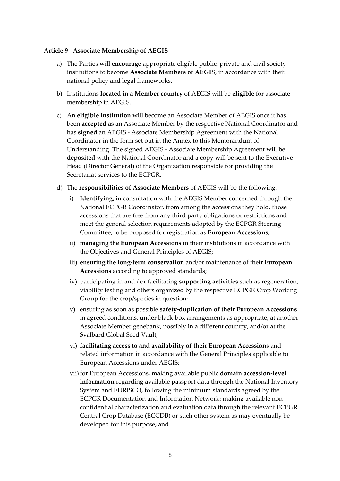#### **Article 9 Associate Membership of AEGIS**

- a) The Parties will **encourage** appropriate eligible public, private and civil society institutions to become **Associate Members of AEGIS**, in accordance with their national policy and legal frameworks.
- b) Institutions **located in a Member country** of AEGIS will be **eligible** for associate membership in AEGIS.
- c) An **eligible institution** will become an Associate Member of AEGIS once it has been **accepted** as an Associate Member by the respective National Coordinator and has **signed** an AEGIS ‐ Associate Membership Agreement with the National Coordinator in the form set out in the Annex to this Memorandum of Understanding. The signed AEGIS ‐ Associate Membership Agreement will be **deposited** with the National Coordinator and a copy will be sent to the Executive Head (Director General) of the Organization responsible for providing the Secretariat services to the ECPGR.
- d) The **responsibilities of Associate Members** of AEGIS will be the following:
	- i) **Identifying,** in consultation with the AEGIS Member concerned through the National ECPGR Coordinator, from among the accessions they hold, those accessions that are free from any third party obligations or restrictions and meet the general selection requirements adopted by the ECPGR Steering Committee, to be proposed for registration as **European Accessions**;
	- ii) **managing the European Accessions** in their institutions in accordance with the Objectives and General Principles of AEGIS;
	- iii) **ensuring the long‐term conservation** and/or maintenance of their **European Accessions** according to approved standards;
	- iv) participating in and / or facilitating **supporting activities** such as regeneration, viability testing and others organized by the respective ECPGR Crop Working Group for the crop/species in question;
	- v) ensuring as soon as possible **safety‐duplication of their European Accessions** in agreed conditions, under black‐box arrangements as appropriate, at another Associate Member genebank, possibly in a different country, and/or at the Svalbard Global Seed Vault;
	- vi) **facilitating access to and availability of their European Accessions** and related information in accordance with the General Principles applicable to European Accessions under AEGIS;
	- vii)for European Accessions, making available public **domain accession‐level information** regarding available passport data through the National Inventory System and EURISCO, following the minimum standards agreed by the ECPGR Documentation and Information Network; making available non‐ confidential characterization and evaluation data through the relevant ECPGR Central Crop Database (ECCDB) or such other system as may eventually be developed for this purpose; and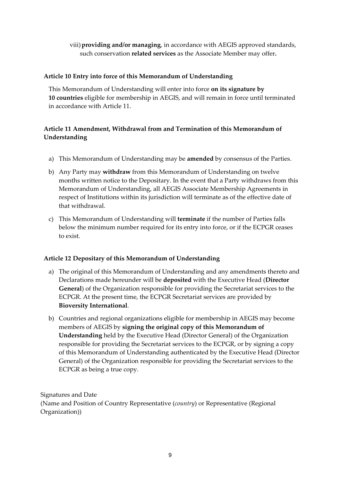# viii)**providing and/or managing**, in accordance with AEGIS approved standards, such conservation **related services** as the Associate Member may offer**.**

## **Article 10 Entry into force of this Memorandum of Understanding**

This Memorandum of Understanding will enter into force **on its signature by 10 countries** eligible for membership in AEGIS, and will remain in force until terminated in accordance with Article 11.

# **Article 11 Amendment, Withdrawal from and Termination of this Memorandum of Understanding**

- a) This Memorandum of Understanding may be **amended** by consensus of the Parties.
- b) Any Party may **withdraw** from this Memorandum of Understanding on twelve months written notice to the Depositary. In the event that a Party withdraws from this Memorandum of Understanding, all AEGIS Associate Membership Agreements in respect of Institutions within its jurisdiction will terminate as of the effective date of that withdrawal.
- c) This Memorandum of Understanding will **terminate** if the number of Parties falls below the minimum number required for its entry into force, or if the ECPGR ceases to exist.

# **Article 12 Depositary of this Memorandum of Understanding**

- a) The original of this Memorandum of Understanding and any amendments thereto and Declarations made hereunder will be **deposited** with the Executive Head (**Director General**) of the Organization responsible for providing the Secretariat services to the ECPGR. At the present time, the ECPGR Secretariat services are provided by **Bioversity International**.
- b) Countries and regional organizations eligible for membership in AEGIS may become members of AEGIS by **signing the original copy of this Memorandum of Understanding** held by the Executive Head (Director General) of the Organization responsible for providing the Secretariat services to the ECPGR, or by signing a copy of this Memorandum of Understanding authenticated by the Executive Head (Director General) of the Organization responsible for providing the Secretariat services to the ECPGR as being a true copy.

Signatures and Date (Name and Position of Country Representative (*country*) or Representative (Regional Organization))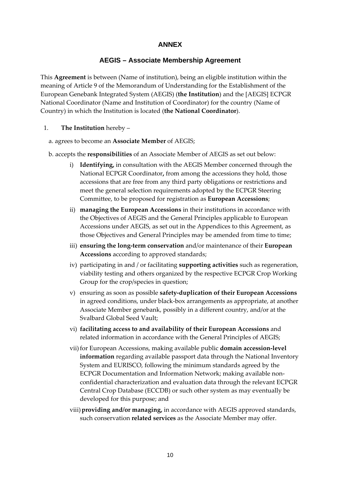# **ANNEX**

# **AEGIS – Associate Membership Agreement**

This **Agreement** is between (Name of institution), being an eligible institution within the meaning of Article 9 of the Memorandum of Understanding for the Establishment of the European Genebank Integrated System (AEGIS) (**the Institution**) and the [AEGIS] ECPGR National Coordinator (Name and Institution of Coordinator) for the country (Name of Country) in which the Institution is located (**the National Coordinator**).

- 1. **The Institution** hereby
	- a. agrees to become an **Associate Member** of AEGIS;
	- b. accepts the **responsibilities** of an Associate Member of AEGIS as set out below:
		- i) **Identifying,** in consultation with the AEGIS Member concerned through the National ECPGR Coordinator**,** from among the accessions they hold, those accessions that are free from any third party obligations or restrictions and meet the general selection requirements adopted by the ECPGR Steering Committee, to be proposed for registration as **European Accessions**;
		- ii) **managing the European Accessions** in their institutions in accordance with the Objectives of AEGIS and the General Principles applicable to European Accessions under AEGIS, as set out in the Appendices to this Agreement, as those Objectives and General Principles may be amended from time to time;
		- iii) **ensuring the long‐term conservation** and/or maintenance of their **European Accessions** according to approved standards;
		- iv) participating in and / or facilitating **supporting activities** such as regeneration, viability testing and others organized by the respective ECPGR Crop Working Group for the crop/species in question;
		- v) ensuring as soon as possible **safety‐duplication of their European Accessions** in agreed conditions, under black‐box arrangements as appropriate, at another Associate Member genebank, possibly in a different country, and/or at the Svalbard Global Seed Vault;
		- vi) **facilitating access to and availability of their European Accessions** and related information in accordance with the General Principles of AEGIS;
		- vii)for European Accessions, making available public **domain accession‐level information** regarding available passport data through the National Inventory System and EURISCO, following the minimum standards agreed by the ECPGR Documentation and Information Network; making available non‐ confidential characterization and evaluation data through the relevant ECPGR Central Crop Database (ECCDB) or such other system as may eventually be developed for this purpose; and
		- viii)**providing and/or managing,** in accordance with AEGIS approved standards, such conservation **related services** as the Associate Member may offer.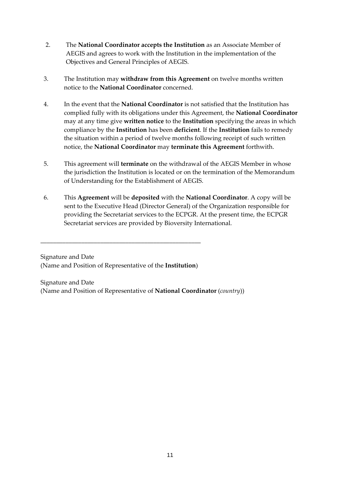- 2. The **National Coordinator accepts the Institution** as an Associate Member of AEGIS and agrees to work with the Institution in the implementation of the Objectives and General Principles of AEGIS.
- 3. The Institution may **withdraw from this Agreement** on twelve months written notice to the **National Coordinator** concerned.
- 4. In the event that the **National Coordinator** is not satisfied that the Institution has complied fully with its obligations under this Agreement, the **National Coordinator** may at any time give **written notice** to the **Institution** specifying the areas in which compliance by the **Institution** has been **deficient**. If the **Institution** fails to remedy the situation within a period of twelve months following receipt of such written notice, the **National Coordinator** may **terminate this Agreement** forthwith.
- 5. This agreement will **terminate** on the withdrawal of the AEGIS Member in whose the jurisdiction the Institution is located or on the termination of the Memorandum of Understanding for the Establishment of AEGIS.
- 6. This **Agreement** will be **deposited** with the **National Coordinator**. A copy will be sent to the Executive Head (Director General) of the Organization responsible for providing the Secretariat services to the ECPGR. At the present time, the ECPGR Secretariat services are provided by Bioversity International.

Signature and Date (Name and Position of Representative of the **Institution**)

\_\_\_\_\_\_\_\_\_\_\_\_\_\_\_\_\_\_\_\_\_\_\_\_\_\_\_\_\_\_\_\_\_\_\_\_\_\_\_\_\_\_\_\_\_\_\_\_\_\_\_

Signature and Date (Name and Position of Representative of **National Coordinator** (*country*))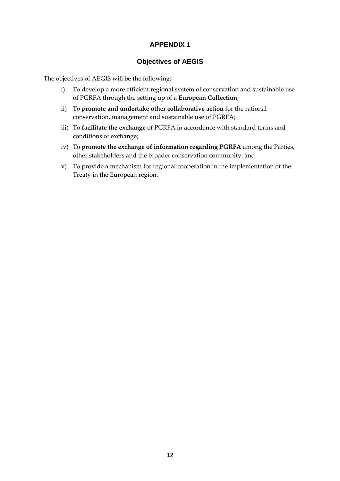# **APPENDIX 1**

# **Objectives of AEGIS**

The objectives of AEGIS will be the following:

- i) To develop a more efficient regional system of conservation and sustainable use of PGRFA through the setting up of a **European Collection**;
- ii) To **promote and undertake other collaborative action** for the rational conservation, management and sustainable use of PGRFA;
- iii) To **facilitate the exchange** of PGRFA in accordance with standard terms and conditions of exchange;
- iv) To **promote the exchange of information regarding PGRFA** among the Parties, other stakeholders and the broader conservation community; and
- v) To provide a mechanism for regional cooperation in the implementation of the Treaty in the European region.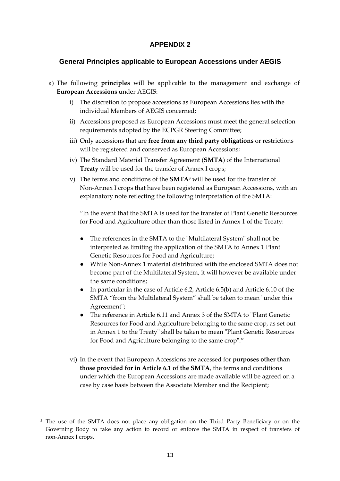# **APPENDIX 2**

# **General Principles applicable to European Accessions under AEGIS**

- a) The following **principles** will be applicable to the management and exchange of **European Accessions** under AEGIS:
	- i) The discretion to propose accessions as European Accessions lies with the individual Members of AEGIS concerned;
	- ii) Accessions proposed as European Accessions must meet the general selection requirements adopted by the ECPGR Steering Committee;
	- iii) Only accessions that are **free from any third party obligations** or restrictions will be registered and conserved as European Accessions;
	- iv) The Standard Material Transfer Agreement (**SMTA**) of the International **Treaty** will be used for the transfer of Annex I crops;
	- v) The terms and conditions of the **SMTA**<sup>3</sup> will be used for the transfer of Non‐Annex I crops that have been registered as European Accessions, with an explanatory note reflecting the following interpretation of the SMTA:

"In the event that the SMTA is used for the transfer of Plant Genetic Resources for Food and Agriculture other than those listed in Annex 1 of the Treaty:

- The references in the SMTA to the "Multilateral System" shall not be interpreted as limiting the application of the SMTA to Annex 1 Plant Genetic Resources for Food and Agriculture;
- While Non-Annex 1 material distributed with the enclosed SMTA does not become part of the Multilateral System, it will however be available under the same conditions;
- In particular in the case of Article 6.2, Article 6.5(b) and Article 6.10 of the SMTA "from the Multilateral System" shall be taken to mean "under this Agreement";
- The reference in Article 6.11 and Annex 3 of the SMTA to "Plant Genetic Resources for Food and Agriculture belonging to the same crop, as set out in Annex 1 to the Treaty" shall be taken to mean "Plant Genetic Resources" for Food and Agriculture belonging to the same crop"."
- vi) In the event that European Accessions are accessed for **purposes other than those provided for in Article 6.1 of the SMTA**, the terms and conditions under which the European Accessions are made available will be agreed on a case by case basis between the Associate Member and the Recipient;

<u> 1989 - Johann Barn, mars eta bainar eta politikaria (h. 1989).</u>

<sup>&</sup>lt;sup>3</sup> The use of the SMTA does not place any obligation on the Third Party Beneficiary or on the Governing Body to take any action to record or enforce the SMTA in respect of transfers of non‐Annex I crops.